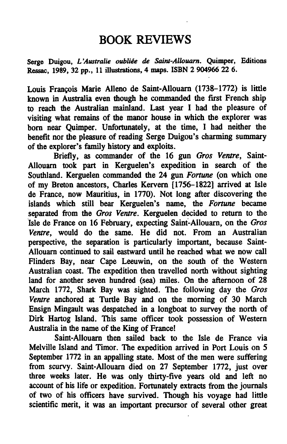## BOOK REVIEWS

Serge Duigou, L'Australie oubliée de Saint-Allouarn. Quimper, Editions Ressac, 1989, 32 pp., 11 illustrations, 4 maps. ISBN 2 904966 22 6.

Louis Francois Marie Alleno de Saint-Allouarn (1738-1772) is little known in Australia even though he commanded the first French ship to reach the Australian mainland. Last year I had the pleasure of visiting what remains of the manor house in which the explorer was born near Quimper. Unfortunately, at the time, I had neither the benefit nor the pleasure of reading Serge Duigou's charming summary of the explorer's family history and exploits.

Briefly, as commander of the 16 gun Gros Ventre, Saint-Allouarn took part in Kerguelen's expedition in search of the Southland. Kerguelen commanded the 24 gun Fortune (on which one of my Breton ancestors, Charles Kervern [1756-1822] arrived at Isle de France, now Mauritius, in 1770). Not long after discovering the islands which still bear Kerguelen's name, the Fortune became separated from the Gros Ventre. Kerguelen decided to return to the Isle de France on 16 February, expecting Saint-Allouarn, on the Gros Ventre, would do the same. He did not. From an Australian perspective, the separation is particularly important, because Saint-Allouarn continued to sail eastward until he reached what we now call Flinders Bay, near Cape Leeuwin, on the south of the Western Australian coast. The expedition then travelled north without sighting land for another seven hundred (sea) miles. On the afternoon of 28 March 1772, Shark Bay was sighted. The following day the Gros Ventre anchored at Turtle Bay and on the morning of 30 March Ensign Mingault was despatched in a longboat to survey the north of Dirk Hartog Island. This same officer took possession of Western Australia in the name of the King of France!

Saint-Allouarn then sailed back to the Isle de France via Melville Island and Timor. The expedition arrived in Port Louis on 5 September 1772 in an appalling state. Most of the men were suffering from scurvy. Saint-Allouarn died on 27 September 1772, just over three weeks later. He was only thirty-five years old and left no account of his life or expedition. Fortunately extracts from the journals of two of his officers have survived. Though his voyage had little scientific merit, it was an important precursor of several other great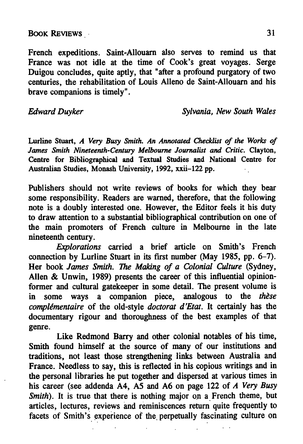## BOOK REVIEWS 31

French expeditions. Saint-Allouarn also serves to remind us that France was not idle at the time of Cook's great voyages. Serge Duigou concludes, quite aptly, that "after a profound purgatory of two centuries, the rehabilitation of Louis Alleno de Saint-Allouarn and his brave companions is timely".

Edward Duyker Sylvania, New South Wales

Lurline Stuart, A Very Busy Smith. An Annotated Checklist of the Works of James Smith Nineteenth-Century Melbourne Journalist and Critic. Clayton, Centre for Bibliographical and Textual Studies and National Centre for Australian Studies, Monash University, 1992, xxii-122 pp.

Publishers should not write reviews of books for which they bear some responsibility. Readers are warned, therefore, that the following note is doubly interested one. However, the Editor feels it his duty to draw attention to a substantial bibliographical contribution on one of the main promoters of French culture in Melbourne in the late nineteenth century.

Explorations carried a brief article on Smith's French connection by Lurline Stuart in its first number (May 1985, pp. 6-7). Her book James Smith. The Making of a Colonial Culture (Sydney, Allen  $\&$  Unwin, 1989) presents the career of this influential opinionformer and cultural gatekeeper in some detail. The present volume is in some ways a companion piece, analogous to the these  $complémentaire$  of the old-style *doctorat d'Etat*. It certainly has the documentary rigour and thoroughness of the best examples of that genre.

Like Redmond Barry and other colonial notables of his time, Smith found himself at the source of many of our institutions and traditions, not least those strengthening links between Australia and France. Needless to say, this is reflected in his copious writings and in the personal libraries he put together and dispersed at various times in his career (see addenda  $\overline{A4}$ ,  $\overline{A5}$  and  $\overline{A6}$  on page 122 of  $\overline{A}$  Very Busy Smith). It is true that there is nothing major on a French theme, but articles, lectures, reviews and reminiscences return quite frequently to facets of Smith's experience of the perpetually fascinating culture on